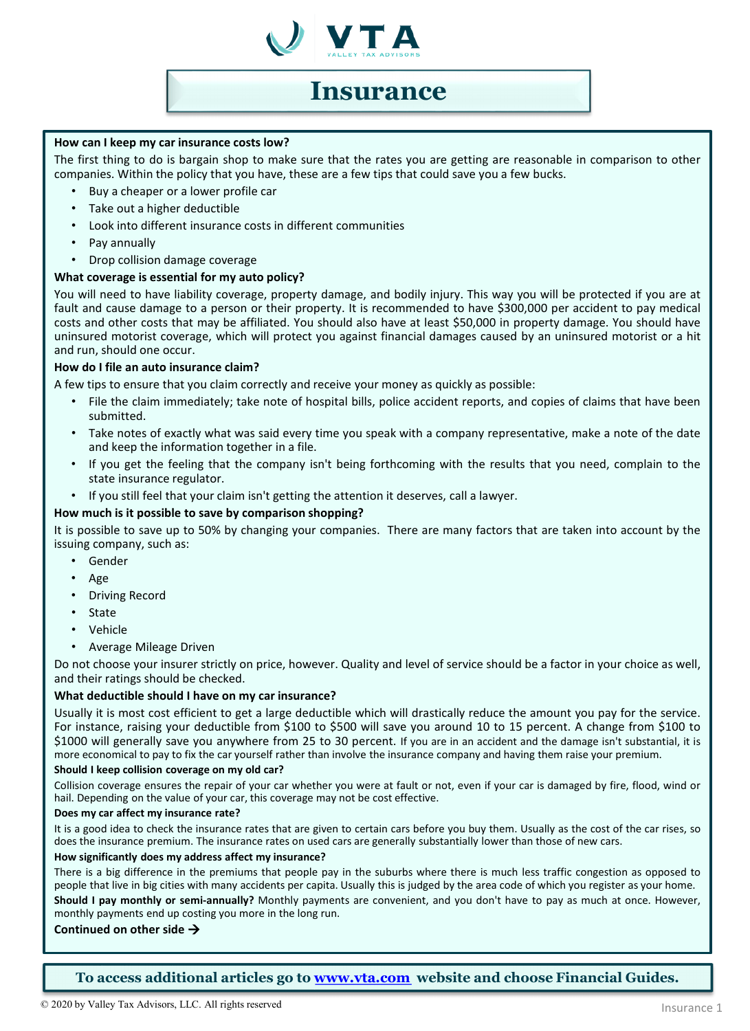

## **Insurance**

### **How can I keep my car insurance costs low?**

The first thing to do is bargain shop to make sure that the rates you are getting are reasonable in comparison to other companies. Within the policy that you have, these are a few tips that could save you a few bucks.

- Buy a cheaper or a lower profile car
- Take out a higher deductible
- Look into different insurance costs in different communities
- Pay annually
- Drop collision damage coverage

### **What coverage is essential for my auto policy?**

You will need to have liability coverage, property damage, and bodily injury. This way you will be protected if you are at fault and cause damage to a person or their property. It is recommended to have \$300,000 per accident to pay medical costs and other costs that may be affiliated. You should also have at least \$50,000 in property damage. You should have uninsured motorist coverage, which will protect you against financial damages caused by an uninsured motorist or a hit and run, should one occur.

### **How do I file an auto insurance claim?**

A few tips to ensure that you claim correctly and receive your money as quickly as possible:

- File the claim immediately; take note of hospital bills, police accident reports, and copies of claims that have been submitted.
- Take notes of exactly what was said every time you speak with a company representative, make a note of the date and keep the information together in a file.
- If you get the feeling that the company isn't being forthcoming with the results that you need, complain to the state insurance regulator.
- If you still feel that your claim isn't getting the attention it deserves, call a lawyer.

### **How much is it possible to save by comparison shopping?**

It is possible to save up to 50% by changing your companies. There are many factors that are taken into account by the issuing company, such as:

- Gender
- Age
- Driving Record
- State
- Vehicle
- Average Mileage Driven

Do not choose your insurer strictly on price, however. Quality and level of service should be a factor in your choice as well, and their ratings should be checked.

### **What deductible should I have on my car insurance?**

Usually it is most cost efficient to get a large deductible which will drastically reduce the amount you pay for the service. For instance, raising your deductible from \$100 to \$500 will save you around 10 to 15 percent. A change from \$100 to \$1000 will generally save you anywhere from 25 to 30 percent. If you are in an accident and the damage isn't substantial, it is more economical to pay to fix the car yourself rather than involve the insurance company and having them raise your premium.

### **Should I keep collision coverage on my old car?**

Collision coverage ensures the repair of your car whether you were at fault or not, even if your car is damaged by fire, flood, wind or hail. Depending on the value of your car, this coverage may not be cost effective.

#### **Does my car affect my insurance rate?**

It is a good idea to check the insurance rates that are given to certain cars before you buy them. Usually as the cost of the car rises, so does the insurance premium. The insurance rates on used cars are generally substantially lower than those of new cars.

### **How significantly does my address affect my insurance?**

There is a big difference in the premiums that people pay in the suburbs where there is much less traffic congestion as opposed to people that live in big cities with many accidents per capita. Usually this is judged by the area code of which you register as your home. **Should I pay monthly or semi-annually?** Monthly payments are convenient, and you don't have to pay as much at once. However, monthly payments end up costing you more in the long run.

### **Continued on other side**

**To access additional articles go to [www.vta.com](http://www.vta.com/) website and choose Financial Guides.**